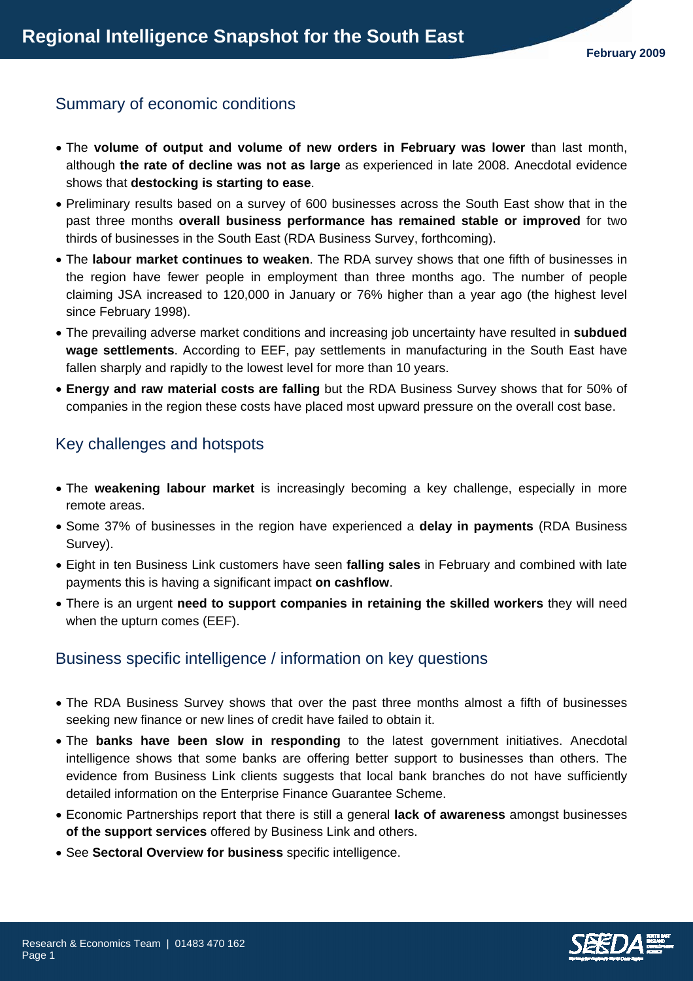## Summary of economic conditions

- The **volume of output and volume of new orders in February was lower** than last month, although **the rate of decline was not as large** as experienced in late 2008. Anecdotal evidence shows that **destocking is starting to ease**.
- Preliminary results based on a survey of 600 businesses across the South East show that in the past three months **overall business performance has remained stable or improved** for two thirds of businesses in the South East (RDA Business Survey, forthcoming).
- The **labour market continues to weaken**. The RDA survey shows that one fifth of businesses in the region have fewer people in employment than three months ago. The number of people claiming JSA increased to 120,000 in January or 76% higher than a year ago (the highest level since February 1998).
- The prevailing adverse market conditions and increasing job uncertainty have resulted in **subdued wage settlements**. According to EEF, pay settlements in manufacturing in the South East have fallen sharply and rapidly to the lowest level for more than 10 years.
- **Energy and raw material costs are falling** but the RDA Business Survey shows that for 50% of companies in the region these costs have placed most upward pressure on the overall cost base.

# Key challenges and hotspots

- The **weakening labour market** is increasingly becoming a key challenge, especially in more remote areas.
- Some 37% of businesses in the region have experienced a **delay in payments** (RDA Business Survey).
- Eight in ten Business Link customers have seen **falling sales** in February and combined with late payments this is having a significant impact **on cashflow**.
- There is an urgent **need to support companies in retaining the skilled workers** they will need when the upturn comes (EEF).

# Business specific intelligence / information on key questions

- The RDA Business Survey shows that over the past three months almost a fifth of businesses seeking new finance or new lines of credit have failed to obtain it.
- The **banks have been slow in responding** to the latest government initiatives. Anecdotal intelligence shows that some banks are offering better support to businesses than others. The evidence from Business Link clients suggests that local bank branches do not have sufficiently detailed information on the Enterprise Finance Guarantee Scheme.
- Economic Partnerships report that there is still a general **lack of awareness** amongst businesses **of the support services** offered by Business Link and others.
- See **Sectoral Overview for business** specific intelligence.

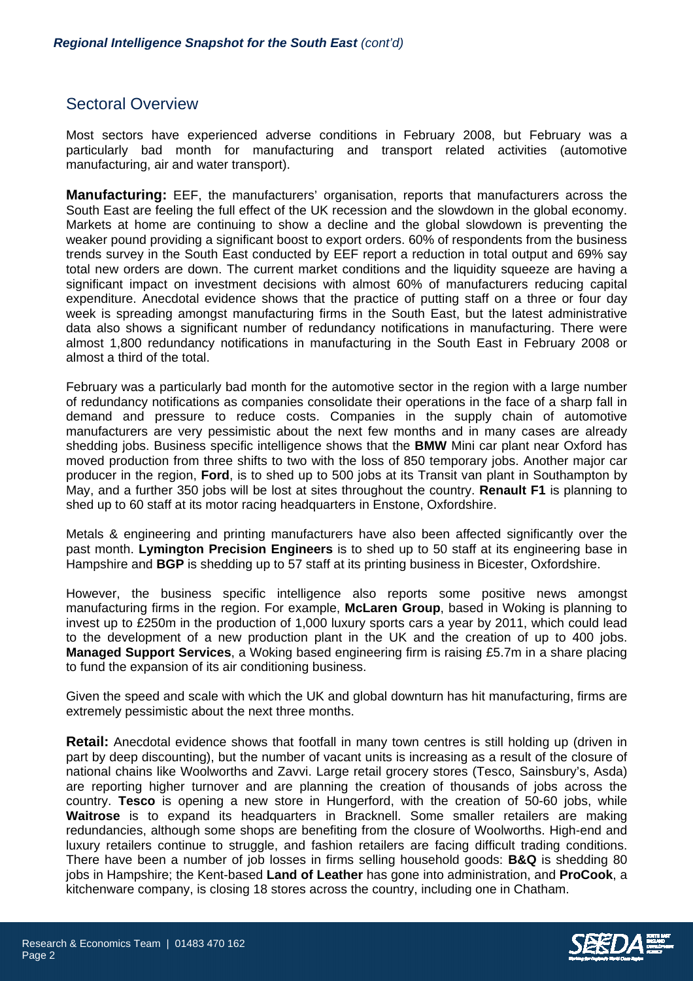### Sectoral Overview

Most sectors have experienced adverse conditions in February 2008, but February was a particularly bad month for manufacturing and transport related activities (automotive manufacturing, air and water transport).

**Manufacturing:** EEF, the manufacturers' organisation, reports that manufacturers across the South East are feeling the full effect of the UK recession and the slowdown in the global economy. Markets at home are continuing to show a decline and the global slowdown is preventing the weaker pound providing a significant boost to export orders. 60% of respondents from the business trends survey in the South East conducted by EEF report a reduction in total output and 69% say total new orders are down. The current market conditions and the liquidity squeeze are having a significant impact on investment decisions with almost 60% of manufacturers reducing capital expenditure. Anecdotal evidence shows that the practice of putting staff on a three or four day week is spreading amongst manufacturing firms in the South East, but the latest administrative data also shows a significant number of redundancy notifications in manufacturing. There were almost 1,800 redundancy notifications in manufacturing in the South East in February 2008 or almost a third of the total.

February was a particularly bad month for the automotive sector in the region with a large number of redundancy notifications as companies consolidate their operations in the face of a sharp fall in demand and pressure to reduce costs. Companies in the supply chain of automotive manufacturers are very pessimistic about the next few months and in many cases are already shedding jobs. Business specific intelligence shows that the **BMW** Mini car plant near Oxford has moved production from three shifts to two with the loss of 850 temporary jobs. Another major car producer in the region, **Ford**, is to shed up to 500 jobs at its Transit van plant in Southampton by May, and a further 350 jobs will be lost at sites throughout the country. **Renault F1** is planning to shed up to 60 staff at its motor racing headquarters in Enstone, Oxfordshire.

Metals & engineering and printing manufacturers have also been affected significantly over the past month. **Lymington Precision Engineers** is to shed up to 50 staff at its engineering base in Hampshire and **BGP** is shedding up to 57 staff at its printing business in Bicester, Oxfordshire.

However, the business specific intelligence also reports some positive news amongst manufacturing firms in the region. For example, **McLaren Group**, based in Woking is planning to invest up to £250m in the production of 1,000 luxury sports cars a year by 2011, which could lead to the development of a new production plant in the UK and the creation of up to 400 jobs. **Managed Support Services**, a Woking based engineering firm is raising £5.7m in a share placing to fund the expansion of its air conditioning business.

Given the speed and scale with which the UK and global downturn has hit manufacturing, firms are extremely pessimistic about the next three months.

**Retail:** Anecdotal evidence shows that footfall in many town centres is still holding up (driven in part by deep discounting), but the number of vacant units is increasing as a result of the closure of national chains like Woolworths and Zavvi. Large retail grocery stores (Tesco, Sainsbury's, Asda) are reporting higher turnover and are planning the creation of thousands of jobs across the country. **Tesco** is opening a new store in Hungerford, with the creation of 50-60 jobs, while **Waitrose** is to expand its headquarters in Bracknell. Some smaller retailers are making redundancies, although some shops are benefiting from the closure of Woolworths. High-end and luxury retailers continue to struggle, and fashion retailers are facing difficult trading conditions. There have been a number of job losses in firms selling household goods: **B&Q** is shedding 80 jobs in Hampshire; the Kent-based **Land of Leather** has gone into administration, and **ProCook**, a kitchenware company, is closing 18 stores across the country, including one in Chatham.

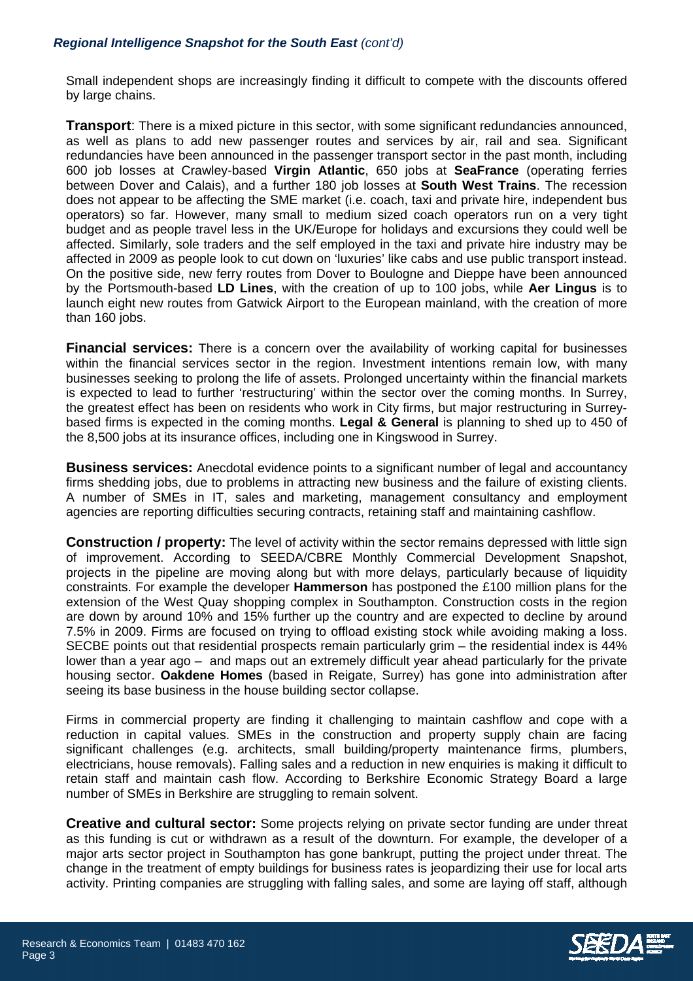### *Regional Intelligence Snapshot for the South East (cont'd)*

Small independent shops are increasingly finding it difficult to compete with the discounts offered by large chains.

**Transport**: There is a mixed picture in this sector, with some significant redundancies announced, as well as plans to add new passenger routes and services by air, rail and sea. Significant redundancies have been announced in the passenger transport sector in the past month, including 600 job losses at Crawley-based **Virgin Atlantic**, 650 jobs at **SeaFrance** (operating ferries between Dover and Calais), and a further 180 job losses at **South West Trains**. The recession does not appear to be affecting the SME market (i.e. coach, taxi and private hire, independent bus operators) so far. However, many small to medium sized coach operators run on a very tight budget and as people travel less in the UK/Europe for holidays and excursions they could well be affected. Similarly, sole traders and the self employed in the taxi and private hire industry may be affected in 2009 as people look to cut down on 'luxuries' like cabs and use public transport instead. On the positive side, new ferry routes from Dover to Boulogne and Dieppe have been announced by the Portsmouth-based **LD Lines**, with the creation of up to 100 jobs, while **Aer Lingus** is to launch eight new routes from Gatwick Airport to the European mainland, with the creation of more than 160 jobs.

**Financial services:** There is a concern over the availability of working capital for businesses within the financial services sector in the region. Investment intentions remain low, with many businesses seeking to prolong the life of assets. Prolonged uncertainty within the financial markets is expected to lead to further 'restructuring' within the sector over the coming months. In Surrey, the greatest effect has been on residents who work in City firms, but major restructuring in Surreybased firms is expected in the coming months. **Legal & General** is planning to shed up to 450 of the 8,500 jobs at its insurance offices, including one in Kingswood in Surrey.

**Business services:** Anecdotal evidence points to a significant number of legal and accountancy firms shedding jobs, due to problems in attracting new business and the failure of existing clients. A number of SMEs in IT, sales and marketing, management consultancy and employment agencies are reporting difficulties securing contracts, retaining staff and maintaining cashflow.

**Construction / property:** The level of activity within the sector remains depressed with little sign of improvement. According to SEEDA/CBRE Monthly Commercial Development Snapshot, projects in the pipeline are moving along but with more delays, particularly because of liquidity constraints. For example the developer **Hammerson** has postponed the £100 million plans for the extension of the West Quay shopping complex in Southampton. Construction costs in the region are down by around 10% and 15% further up the country and are expected to decline by around 7.5% in 2009. Firms are focused on trying to offload existing stock while avoiding making a loss. SECBE points out that residential prospects remain particularly grim – the residential index is 44% lower than a year ago – and maps out an extremely difficult year ahead particularly for the private housing sector. **Oakdene Homes** (based in Reigate, Surrey) has gone into administration after seeing its base business in the house building sector collapse.

Firms in commercial property are finding it challenging to maintain cashflow and cope with a reduction in capital values. SMEs in the construction and property supply chain are facing significant challenges (e.g. architects, small building/property maintenance firms, plumbers, electricians, house removals). Falling sales and a reduction in new enquiries is making it difficult to retain staff and maintain cash flow. According to Berkshire Economic Strategy Board a large number of SMEs in Berkshire are struggling to remain solvent.

**Creative and cultural sector:** Some projects relying on private sector funding are under threat as this funding is cut or withdrawn as a result of the downturn. For example, the developer of a major arts sector project in Southampton has gone bankrupt, putting the project under threat. The change in the treatment of empty buildings for business rates is jeopardizing their use for local arts activity. Printing companies are struggling with falling sales, and some are laying off staff, although

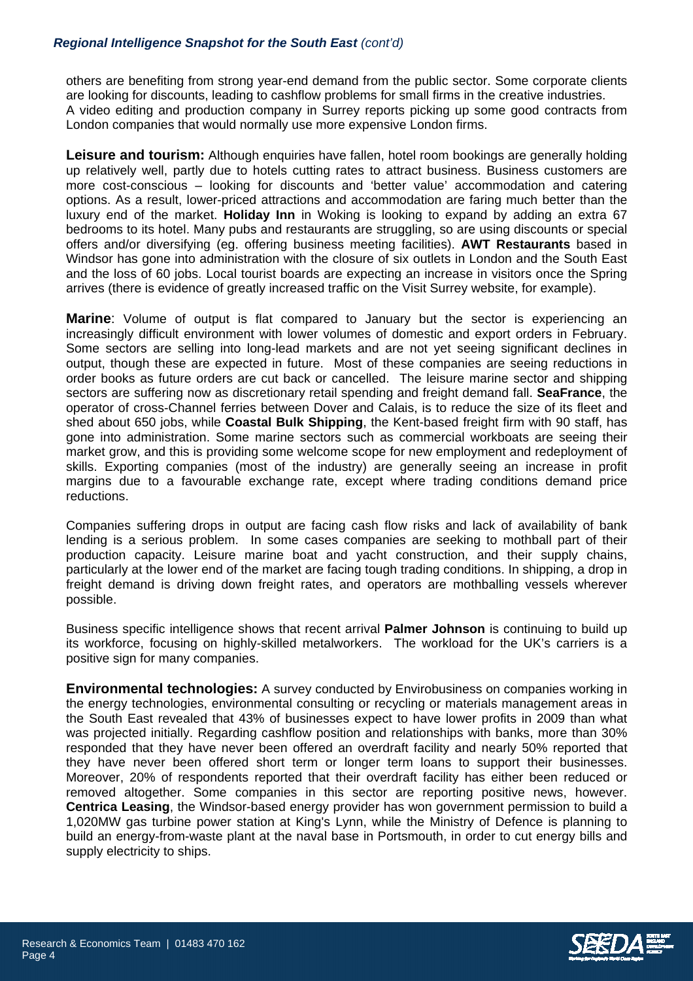#### *Regional Intelligence Snapshot for the South East (cont'd)*

others are benefiting from strong year-end demand from the public sector. Some corporate clients are looking for discounts, leading to cashflow problems for small firms in the creative industries. A video editing and production company in Surrey reports picking up some good contracts from London companies that would normally use more expensive London firms.

**Leisure and tourism:** Although enquiries have fallen, hotel room bookings are generally holding up relatively well, partly due to hotels cutting rates to attract business. Business customers are more cost-conscious – looking for discounts and 'better value' accommodation and catering options. As a result, lower-priced attractions and accommodation are faring much better than the luxury end of the market. **Holiday Inn** in Woking is looking to expand by adding an extra 67 bedrooms to its hotel. Many pubs and restaurants are struggling, so are using discounts or special offers and/or diversifying (eg. offering business meeting facilities). **AWT Restaurants** based in Windsor has gone into administration with the closure of six outlets in London and the South East and the loss of 60 jobs. Local tourist boards are expecting an increase in visitors once the Spring arrives (there is evidence of greatly increased traffic on the Visit Surrey website, for example).

**Marine**: Volume of output is flat compared to January but the sector is experiencing an increasingly difficult environment with lower volumes of domestic and export orders in February. Some sectors are selling into long-lead markets and are not yet seeing significant declines in output, though these are expected in future. Most of these companies are seeing reductions in order books as future orders are cut back or cancelled. The leisure marine sector and shipping sectors are suffering now as discretionary retail spending and freight demand fall. **SeaFrance**, the operator of cross-Channel ferries between Dover and Calais, is to reduce the size of its fleet and shed about 650 jobs, while **Coastal Bulk Shipping**, the Kent-based freight firm with 90 staff, has gone into administration. Some marine sectors such as commercial workboats are seeing their market grow, and this is providing some welcome scope for new employment and redeployment of skills. Exporting companies (most of the industry) are generally seeing an increase in profit margins due to a favourable exchange rate, except where trading conditions demand price reductions.

Companies suffering drops in output are facing cash flow risks and lack of availability of bank lending is a serious problem. In some cases companies are seeking to mothball part of their production capacity. Leisure marine boat and yacht construction, and their supply chains, particularly at the lower end of the market are facing tough trading conditions. In shipping, a drop in freight demand is driving down freight rates, and operators are mothballing vessels wherever possible.

Business specific intelligence shows that recent arrival **Palmer Johnson** is continuing to build up its workforce, focusing on highly-skilled metalworkers. The workload for the UK's carriers is a positive sign for many companies.

**Environmental technologies:** A survey conducted by Envirobusiness on companies working in the energy technologies, environmental consulting or recycling or materials management areas in the South East revealed that 43% of businesses expect to have lower profits in 2009 than what was projected initially. Regarding cashflow position and relationships with banks, more than 30% responded that they have never been offered an overdraft facility and nearly 50% reported that they have never been offered short term or longer term loans to support their businesses. Moreover, 20% of respondents reported that their overdraft facility has either been reduced or removed altogether. Some companies in this sector are reporting positive news, however. **Centrica Leasing**, the Windsor-based energy provider has won government permission to build a 1,020MW gas turbine power station at King's Lynn, while the Ministry of Defence is planning to build an energy-from-waste plant at the naval base in Portsmouth, in order to cut energy bills and supply electricity to ships.

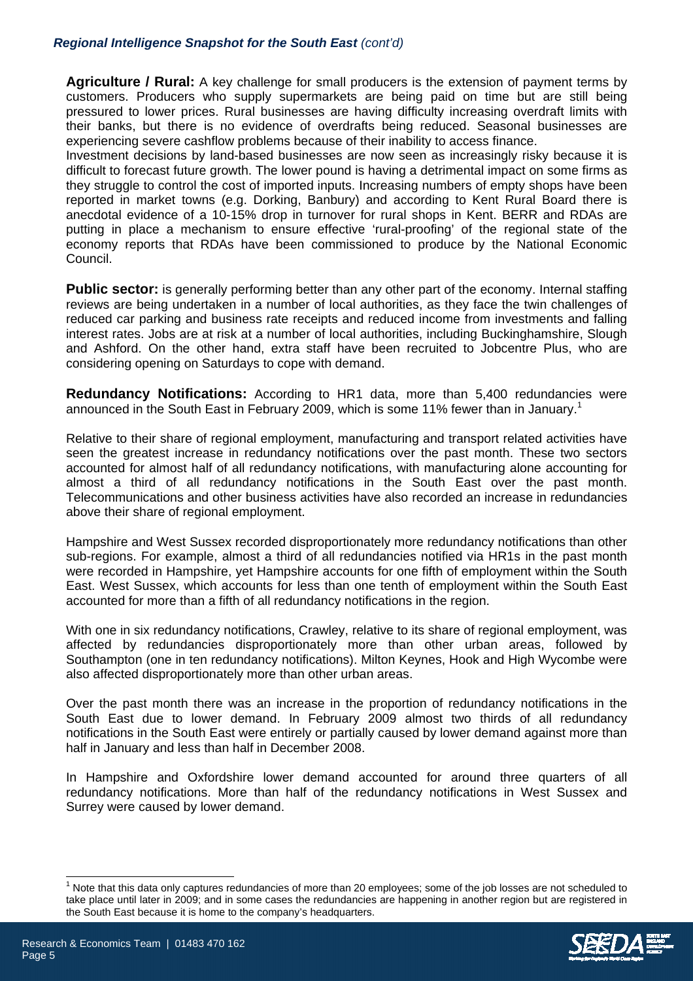### *Regional Intelligence Snapshot for the South East (cont'd)*

**Agriculture / Rural:** A key challenge for small producers is the extension of payment terms by customers. Producers who supply supermarkets are being paid on time but are still being pressured to lower prices. Rural businesses are having difficulty increasing overdraft limits with their banks, but there is no evidence of overdrafts being reduced. Seasonal businesses are experiencing severe cashflow problems because of their inability to access finance.

Investment decisions by land-based businesses are now seen as increasingly risky because it is difficult to forecast future growth. The lower pound is having a detrimental impact on some firms as they struggle to control the cost of imported inputs. Increasing numbers of empty shops have been reported in market towns (e.g. Dorking, Banbury) and according to Kent Rural Board there is anecdotal evidence of a 10-15% drop in turnover for rural shops in Kent. BERR and RDAs are putting in place a mechanism to ensure effective 'rural-proofing' of the regional state of the economy reports that RDAs have been commissioned to produce by the National Economic Council.

**Public sector:** is generally performing better than any other part of the economy. Internal staffing reviews are being undertaken in a number of local authorities, as they face the twin challenges of reduced car parking and business rate receipts and reduced income from investments and falling interest rates. Jobs are at risk at a number of local authorities, including Buckinghamshire, Slough and Ashford. On the other hand, extra staff have been recruited to Jobcentre Plus, who are considering opening on Saturdays to cope with demand.

**Redundancy Notifications:** According to HR1 data, more than 5,400 redundancies were announcedin the South East in February 2009, which is some 11% fewer than in January.<sup>1</sup>

Relative to their share of regional employment, manufacturing and transport related activities have seen the greatest increase in redundancy notifications over the past month. These two sectors accounted for almost half of all redundancy notifications, with manufacturing alone accounting for almost a third of all redundancy notifications in the South East over the past month. Telecommunications and other business activities have also recorded an increase in redundancies above their share of regional employment.

Hampshire and West Sussex recorded disproportionately more redundancy notifications than other sub-regions. For example, almost a third of all redundancies notified via HR1s in the past month were recorded in Hampshire, yet Hampshire accounts for one fifth of employment within the South East. West Sussex, which accounts for less than one tenth of employment within the South East accounted for more than a fifth of all redundancy notifications in the region.

With one in six redundancy notifications, Crawley, relative to its share of regional employment, was affected by redundancies disproportionately more than other urban areas, followed by Southampton (one in ten redundancy notifications). Milton Keynes, Hook and High Wycombe were also affected disproportionately more than other urban areas.

Over the past month there was an increase in the proportion of redundancy notifications in the South East due to lower demand. In February 2009 almost two thirds of all redundancy notifications in the South East were entirely or partially caused by lower demand against more than half in January and less than half in December 2008.

In Hampshire and Oxfordshire lower demand accounted for around three quarters of all redundancy notifications. More than half of the redundancy notifications in West Sussex and Surrey were caused by lower demand.

<span id="page-4-0"></span> $\frac{1}{1}$  Note that this data only captures redundancies of more than 20 employees; some of the job losses are not scheduled to take place until later in 2009; and in some cases the redundancies are happening in another region but are registered in the South East because it is home to the company's headquarters.